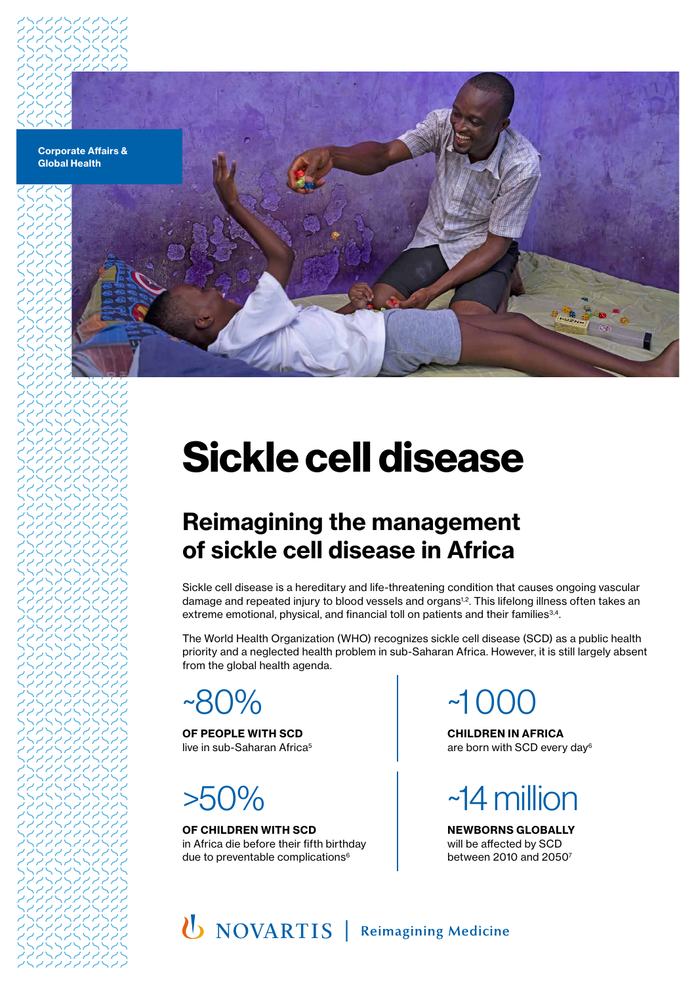



# **Sickle cell disease**

### **Reimagining the management of sickle cell disease in Africa**

Sickle cell disease is a hereditary and life-threatening condition that causes ongoing vascular damage and repeated injury to blood vessels and organs<sup>1,2</sup>. This lifelong illness often takes an extreme emotional, physical, and financial toll on patients and their families<sup>3,4</sup>.

The World Health Organization (WHO) recognizes sickle cell disease (SCD) as a public health priority and a neglected health problem in sub-Saharan Africa. However, it is still largely absent from the global health agenda.

~80%

**OF PEOPLE WITH SCD** live in sub-Saharan Africa<sup>5</sup>

## >50%

**OF CHILDREN WITH SCD** in Africa die before their fifth birthday due to preventable complications<sup>6</sup>

 $~1$  ( )( )(

**CHILDREN IN AFRICA** are born with SCD every day6



**NEWBORNS GLOBALLY** will be affected by SCD between 2010 and 20507

U NOVARTIS | Reimagining Medicine